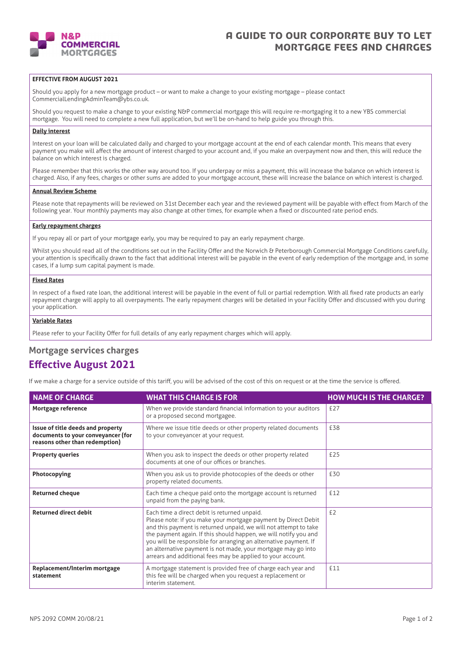

## A GUIDE TO OUR CORPORATE BUY TO LET MORTGAGE FEES AND CHARGES

## **EFFECTIVE FROM AUGUST 2021**

Should you apply for a new mortgage product – or want to make a change to your existing mortgage – please contact CommercialLendingAdminTeam@ybs.co.uk.

Should you request to make a change to your existing N&P commercial mortgage this will require re-mortgaging it to a new YBS commercial mortgage. You will need to complete a new full application, but we'll be on-hand to help guide you through this.

### **Daily interest**

Interest on your loan will be calculated daily and charged to your mortgage account at the end of each calendar month. This means that every payment you make will affect the amount of interest charged to your account and, if you make an overpayment now and then, this will reduce the balance on which interest is charged.

Please remember that this works the other way around too. If you underpay or miss a payment, this will increase the balance on which interest is charged. Also, if any fees, charges or other sums are added to your mortgage account, these will increase the balance on which interest is charged.

#### **Annual Review Scheme**

Please note that repayments will be reviewed on 31st December each year and the reviewed payment will be payable with effect from March of the following year. Your monthly payments may also change at other times, for example when a fixed or discounted rate period ends.

#### **Early repayment charges**

If you repay all or part of your mortgage early, you may be required to pay an early repayment charge.

Whilst you should read all of the conditions set out in the Facility Offer and the Norwich & Peterborough Commercial Mortgage Conditions carefully, your attention is specifically drawn to the fact that additional interest will be payable in the event of early redemption of the mortgage and, in some cases, if a lump sum capital payment is made.

### **Fixed Rates**

In respect of a fixed rate loan, the additional interest will be payable in the event of full or partial redemption. With all fixed rate products an early repayment charge will apply to all overpayments. The early repayment charges will be detailed in your Facility Offer and discussed with you during your application.

### **Variable Rates**

Please refer to your Facility Offer for full details of any early repayment charges which will apply.

## **Mortgage services charges**

## **Effective August 2021**

If we make a charge for a service outside of this tariff, you will be advised of the cost of this on request or at the time the service is offered.

| <b>NAME OF CHARGE</b>                                                                                     | <b>WHAT THIS CHARGE IS FOR</b>                                                                                                                                                                                                                                                                                                                                                                                                                             | <b>HOW MUCH IS THE CHARGE?</b> |
|-----------------------------------------------------------------------------------------------------------|------------------------------------------------------------------------------------------------------------------------------------------------------------------------------------------------------------------------------------------------------------------------------------------------------------------------------------------------------------------------------------------------------------------------------------------------------------|--------------------------------|
| Mortgage reference                                                                                        | When we provide standard financial information to your auditors<br>or a proposed second mortgagee.                                                                                                                                                                                                                                                                                                                                                         | £27                            |
| Issue of title deeds and property<br>documents to your conveyancer (for<br>reasons other than redemption) | Where we issue title deeds or other property related documents<br>to your conveyancer at your request.                                                                                                                                                                                                                                                                                                                                                     | £38                            |
| <b>Property queries</b>                                                                                   | When you ask to inspect the deeds or other property related<br>documents at one of our offices or branches.                                                                                                                                                                                                                                                                                                                                                | £25                            |
| Photocopying                                                                                              | When you ask us to provide photocopies of the deeds or other<br>property related documents.                                                                                                                                                                                                                                                                                                                                                                | £30                            |
| <b>Returned cheque</b>                                                                                    | Each time a cheque paid onto the mortgage account is returned<br>unpaid from the paying bank.                                                                                                                                                                                                                                                                                                                                                              | £12                            |
| <b>Returned direct debit</b>                                                                              | Each time a direct debit is returned unpaid.<br>Please note: if you make your mortgage payment by Direct Debit<br>and this payment is returned unpaid, we will not attempt to take<br>the payment again. If this should happen, we will notify you and<br>you will be responsible for arranging an alternative payment. If<br>an alternative payment is not made, your mortgage may go into<br>arrears and additional fees may be applied to your account. | £2                             |
| Replacement/Interim mortgage<br>statement                                                                 | A mortgage statement is provided free of charge each year and<br>this fee will be charged when you request a replacement or<br>interim statement.                                                                                                                                                                                                                                                                                                          | £11                            |